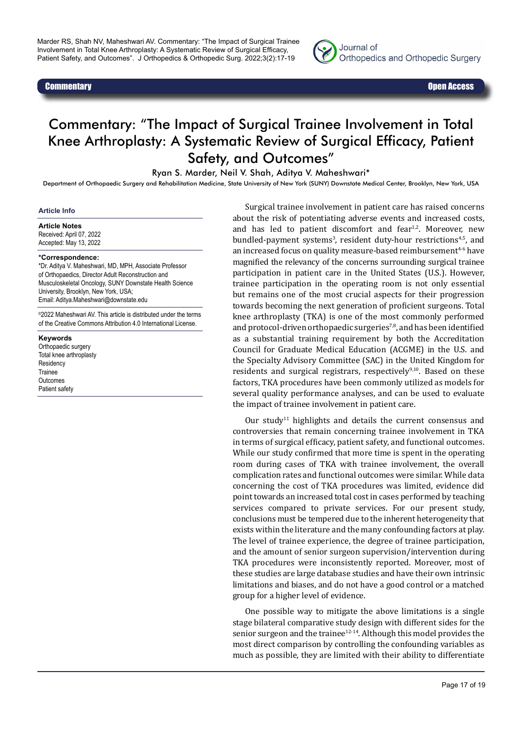



# Commentary: "The Impact of Surgical Trainee Involvement in Total Knee Arthroplasty: A Systematic Review of Surgical Efficacy, Patient Safety, and Outcomes"

Ryan S. Marder, Neil V. Shah, Aditya V. Maheshwari\*

Department of Orthopaedic Surgery and Rehabilitation Medicine, State University of New York (SUNY) Downstate Medical Center, Brooklyn, New York, USA

#### **Article Info**

#### **Article Notes**

Received: April 07, 2022 Accepted: May 13, 2022

#### **\*Correspondence:**

\*Dr. Aditya V. Maheshwari, MD, MPH, Associate Professor of Orthopaedics, Director Adult Reconstruction and Musculoskeletal Oncology, SUNY Downstate Health Science University, Brooklyn, New York, USA; Email: Aditya.Maheshwari@downstate.edu

©2022 Maheshwari AV. This article is distributed under the terms of the Creative Commons Attribution 4.0 International License.

**Keywords** Orthopaedic surgery Total knee arthroplasty **Residency** Trainee **Outcomes** Patient safety

Surgical trainee involvement in patient care has raised concerns about the risk of potentiating adverse events and increased costs, and has led to patient discomfort and fear $1,2$ . Moreover, new bundled-payment systems<sup>3</sup>, resident duty-hour restrictions<sup>4,5</sup>, and an increased focus on quality measure-based reimbursement<sup>4-6</sup> have magnified the relevancy of the concerns surrounding surgical trainee participation in patient care in the United States (U.S.). However, trainee participation in the operating room is not only essential but remains one of the most crucial aspects for their progression towards becoming the next generation of proficient surgeons. Total knee arthroplasty (TKA) is one of the most commonly performed and protocol-driven orthopaedic surgeries<sup>7,8</sup>, and has been identified as a substantial training requirement by both the Accreditation Council for Graduate Medical Education (ACGME) in the U.S. and the Specialty Advisory Committee (SAC) in the United Kingdom for residents and surgical registrars, respectively $9,10$ . Based on these factors, TKA procedures have been commonly utilized as models for several quality performance analyses, and can be used to evaluate the impact of trainee involvement in patient care.

Our study<sup>11</sup> highlights and details the current consensus and controversies that remain concerning trainee involvement in TKA in terms of surgical efficacy, patient safety, and functional outcomes. While our study confirmed that more time is spent in the operating room during cases of TKA with trainee involvement, the overall complication rates and functional outcomes were similar. While data concerning the cost of TKA procedures was limited, evidence did point towards an increased total cost in cases performed by teaching services compared to private services. For our present study, conclusions must be tempered due to the inherent heterogeneity that exists within the literature and the many confounding factors at play. The level of trainee experience, the degree of trainee participation, and the amount of senior surgeon supervision/intervention during TKA procedures were inconsistently reported. Moreover, most of these studies are large database studies and have their own intrinsic limitations and biases, and do not have a good control or a matched group for a higher level of evidence.

One possible way to mitigate the above limitations is a single stage bilateral comparative study design with different sides for the senior surgeon and the trainee $12-14$ . Although this model provides the most direct comparison by controlling the confounding variables as much as possible, they are limited with their ability to differentiate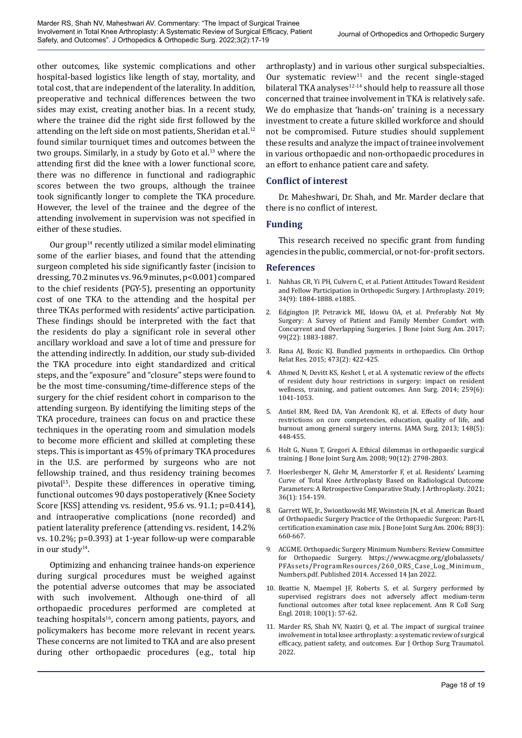other outcomes, like systemic complications and other hospital-based logistics like length of stay, mortality, and total cost, that are independent of the laterality. In addition, preoperative and technical differences between the two sides may exist, creating another bias. In a recent study, where the trainee did the right side first followed by the attending on the left side on most patients, Sheridan et al.<sup>12</sup> found similar tourniquet times and outcomes between the two groups. Similarly, in a study by Goto et al.<sup>13</sup> where the attending first did the knee with a lower functional score, there was no difference in functional and radiographic scores between the two groups, although the trainee took significantly longer to complete the TKA procedure. However, the level of the trainee and the degree of the attending involvement in supervision was not specified in either of these studies.

Our group<sup>14</sup> recently utilized a similar model eliminating some of the earlier biases, and found that the attending surgeon completed his side significantly faster (incision to dressing, 70.2 minutes vs. 96.9 minutes, p<0.001) compared to the chief residents (PGY-5), presenting an opportunity cost of one TKA to the attending and the hospital per three TKAs performed with residents' active participation. These findings should be interpreted with the fact that the residents do play a significant role in several other ancillary workload and save a lot of time and pressure for the attending indirectly. In addition, our study sub-divided the TKA procedure into eight standardized and critical steps, and the "exposure" and "closure" steps were found to be the most time-consuming/time-difference steps of the surgery for the chief resident cohort in comparison to the attending surgeon. By identifying the limiting steps of the TKA procedure, trainees can focus on and practice these techniques in the operating room and simulation models to become more efficient and skilled at completing these steps. This is important as 45% of primary TKA procedures in the U.S. are performed by surgeons who are not fellowship trained, and thus residency training becomes pivotal<sup>15</sup>. Despite these differences in operative timing, functional outcomes 90 days postoperatively (Knee Society Score [KSS] attending vs. resident, 95.6 vs. 91.1; p=0.414), and intraoperative complications (none recorded) and patient laterality preference (attending vs. resident, 14.2% vs. 10.2%; p=0.393) at 1-year follow-up were comparable in our study $14$ .

Optimizing and enhancing trainee hands-on experience during surgical procedures must be weighed against the potential adverse outcomes that may be associated with such involvement. Although one-third of all orthopaedic procedures performed are completed at teaching hospitals $16$ , concern among patients, payors, and policymakers has become more relevant in recent years. These concerns are not limited to TKA and are also present during other orthopaedic procedures (e.g., total hip

arthroplasty) and in various other surgical subspecialties. Our systematic review<sup>11</sup> and the recent single-staged bilateral TKA analyses $12-14$  should help to reassure all those concerned that trainee involvement in TKA is relatively safe. We do emphasize that 'hands-on' training is a necessary investment to create a future skilled workforce and should not be compromised. Future studies should supplement these results and analyze the impact of trainee involvement in various orthopaedic and non-orthopaedic procedures in an effort to enhance patient care and safety.

## **Conflict of interest**

Dr. Maheshwari, Dr. Shah, and Mr. Marder declare that there is no conflict of interest.

## **Funding**

This research received no specific grant from funding agencies in the public, commercial, or not-for-profit sectors.

### **References**

- 1. Nahhas CR, Yi PH, Culvern C, et al. Patient Attitudes Toward Resident and Fellow Participation in Orthopedic Surgery. J Arthroplasty*.* 2019; 34(9): 1884-1888. e1885.
- 2. Edgington JP, Petravick ME, Idowu OA, et al. Preferably Not My Surgery: A Survey of Patient and Family Member Comfort with Concurrent and Overlapping Surgeries. J Bone Joint Surg Am*.* 2017; 99(22): 1883-1887.
- 3. Rana AJ, Bozic KJ. Bundled payments in orthopaedics. Clin Orthop Relat Res*.* 2015; 473(2): 422-425.
- Ahmed N, Devitt KS, Keshet I, et al. A systematic review of the effects of resident duty hour restrictions in surgery: impact on resident wellness, training, and patient outcomes. Ann Surg*.* 2014; 259(6): 1041-1053.
- 5. Antiel RM, Reed DA, Van Arendonk KJ, et al. Effects of duty hour restrictions on core competencies, education, quality of life, and burnout among general surgery interns. JAMA Surg*.* 2013; 148(5): 448-455.
- 6. Holt G, Nunn T, Gregori A. Ethical dilemmas in orthopaedic surgical training. J Bone Joint Surg Am*.* 2008; 90(12): 2798-2803.
- 7. Hoerlesberger N, Glehr M, Amerstorfer F, et al. Residents' Learning Curve of Total Knee Arthroplasty Based on Radiological Outcome Parameters: A Retrospective Comparative Study. J Arthroplasty*.* 2021; 36(1): 154-159.
- 8. Garrett WE, Jr., Swiontkowski MF, Weinstein JN, et al. American Board of Orthopaedic Surgery Practice of the Orthopaedic Surgeon: Part-II, certification examination case mix. J Bone Joint Surg Am*.* 2006; 88(3): 660-667.
- 9. ACGME. Orthopaedic Surgery Minimum Numbers: Review Committee for Orthopaedic Surgery. https://www.acgme.org/globalassets/ PFAssets/ProgramResources/260\_ORS\_Case\_Log\_Minimum\_ Numbers.pdf. Published 2014. Accessed 14 Jan 2022.
- 10. Beattie N, Maempel JF, Roberts S, et al. Surgery performed by supervised registrars does not adversely affect medium-term functional outcomes after total knee replacement. Ann R Coll Surg Engl*.* 2018; 100(1): 57-62.
- 11. Marder RS, Shah NV, Naziri Q, et al. The impact of surgical trainee involvement in total knee arthroplasty: a systematic review of surgical efficacy, patient safety, and outcomes. Eur J Orthop Surg Traumatol*.* 2022.